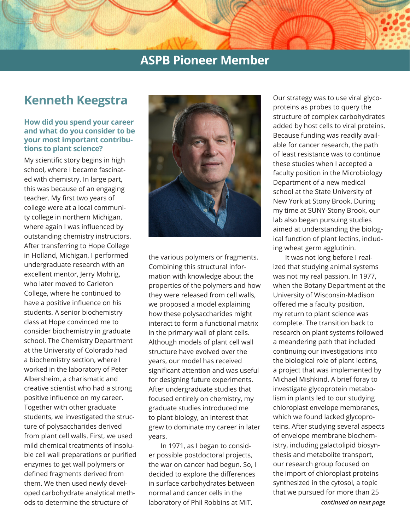# **Kenneth Keegstra**

### **How did you spend your career and what do you consider to be your most important contributions to plant science?**

My scientific story begins in high school, where I became fascinated with chemistry. In large part, this was because of an engaging teacher. My first two years of college were at a local community college in northern Michigan, where again I was influenced by outstanding chemistry instructors. After transferring to Hope College in Holland, Michigan, I performed undergraduate research with an excellent mentor, Jerry Mohrig, who later moved to Carleton College, where he continued to have a positive influence on his students. A senior biochemistry class at Hope convinced me to consider biochemistry in graduate school. The Chemistry Department at the University of Colorado had a biochemistry section, where I worked in the laboratory of Peter Albersheim, a charismatic and creative scientist who had a strong positive influence on my career. Together with other graduate students, we investigated the structure of polysaccharides derived from plant cell walls. First, we used mild chemical treatments of insoluble cell wall preparations or purified enzymes to get wall polymers or defined fragments derived from them. We then used newly developed carbohydrate analytical methods to determine the structure of



the various polymers or fragments. Combining this structural information with knowledge about the properties of the polymers and how they were released from cell walls, we proposed a model explaining how these polysaccharides might interact to form a functional matrix in the primary wall of plant cells. Although models of plant cell wall structure have evolved over the years, our model has received significant attention and was useful for designing future experiments. After undergraduate studies that focused entirely on chemistry, my graduate studies introduced me to plant biology, an interest that grew to dominate my career in later years.

In 1971, as I began to consider possible postdoctoral projects, the war on cancer had begun. So, I decided to explore the differences in surface carbohydrates between normal and cancer cells in the laboratory of Phil Robbins at MIT.

Our strategy was to use viral glycoproteins as probes to query the structure of complex carbohydrates added by host cells to viral proteins. Because funding was readily available for cancer research, the path of least resistance was to continue these studies when I accepted a faculty position in the Microbiology Department of a new medical school at the State University of New York at Stony Brook. During my time at SUNY-Stony Brook, our lab also began pursuing studies aimed at understanding the biological function of plant lectins, including wheat germ agglutinin.

*continued on next page* It was not long before I realized that studying animal systems was not my real passion. In 1977, when the Botany Department at the University of Wisconsin-Madison offered me a faculty position, my return to plant science was complete. The transition back to research on plant systems followed a meandering path that included continuing our investigations into the biological role of plant lectins, a project that was implemented by Michael Mishkind. A brief foray to investigate glycoprotein metabolism in plants led to our studying chloroplast envelope membranes, which we found lacked glycoproteins. After studying several aspects of envelope membrane biochemistry, including galactolipid biosynthesis and metabolite transport, our research group focused on the import of chloroplast proteins synthesized in the cytosol, a topic that we pursued for more than 25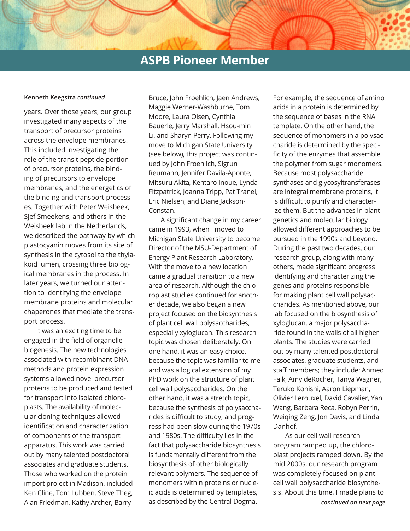#### **Kenneth Keegstra** *continued*

years. Over those years, our group investigated many aspects of the transport of precursor proteins across the envelope membranes. This included investigating the role of the transit peptide portion of precursor proteins, the binding of precursors to envelope membranes, and the energetics of the binding and transport processes. Together with Peter Weisbeek, Sjef Smeekens, and others in the Weisbeek lab in the Netherlands, we described the pathway by which plastocyanin moves from its site of synthesis in the cytosol to the thylakoid lumen, crossing three biological membranes in the process. In later years, we turned our attention to identifying the envelope membrane proteins and molecular chaperones that mediate the transport process.

It was an exciting time to be engaged in the field of organelle biogenesis. The new technologies associated with recombinant DNA methods and protein expression systems allowed novel precursor proteins to be produced and tested for transport into isolated chloroplasts. The availability of molecular cloning techniques allowed identification and characterization of components of the transport apparatus. This work was carried out by many talented postdoctoral associates and graduate students. Those who worked on the protein import project in Madison, included Ken Cline, Tom Lubben, Steve Theg, Alan Friedman, Kathy Archer, Barry

Bruce, John Froehlich, Jaen Andrews, Maggie Werner-Washburne, Tom Moore, Laura Olsen, Cynthia Bauerle, Jerry Marshall, Hsou-min Li, and Sharyn Perry. Following my move to Michigan State University (see below), this project was continued by John Froehlich, Sigrun Reumann, Jennifer Davila-Aponte, Mitsuru Akita, Kentaro Inoue, Lynda Fitzpatrick, Joanna Tripp, Pat Tranel, Eric Nielsen, and Diane Jackson-Constan.

A significant change in my career came in 1993, when I moved to Michigan State University to become Director of the MSU-Department of Energy Plant Research Laboratory. With the move to a new location came a gradual transition to a new area of research. Although the chloroplast studies continued for another decade, we also began a new project focused on the biosynthesis of plant cell wall polysaccharides, especially xyloglucan. This research topic was chosen deliberately. On one hand, it was an easy choice, because the topic was familiar to me and was a logical extension of my PhD work on the structure of plant cell wall polysaccharides. On the other hand, it was a stretch topic, because the synthesis of polysaccharides is difficult to study, and progress had been slow during the 1970s and 1980s. The difficulty lies in the fact that polysaccharide biosynthesis is fundamentally different from the biosynthesis of other biologically relevant polymers. The sequence of monomers within proteins or nucleic acids is determined by templates, as described by the Central Dogma.

For example, the sequence of amino acids in a protein is determined by the sequence of bases in the RNA template. On the other hand, the sequence of monomers in a polysaccharide is determined by the specificity of the enzymes that assemble the polymer from sugar monomers. Because most polysaccharide synthases and glycosyltransferases are integral membrane proteins, it is difficult to purify and characterize them. But the advances in plant genetics and molecular biology allowed different approaches to be pursued in the 1990s and beyond. During the past two decades, our research group, along with many others, made significant progress identifying and characterizing the genes and proteins responsible for making plant cell wall polysaccharides. As mentioned above, our lab focused on the biosynthesis of xyloglucan, a major polysaccharide found in the walls of all higher plants. The studies were carried out by many talented postdoctoral associates, graduate students, and staff members; they include: Ahmed Faik, Amy deRocher, Tanya Wagner, Teruko Konishi, Aaron Liepman, Olivier Lerouxel, David Cavalier, Yan Wang, Barbara Reca, Robyn Perrin, Weiqing Zeng, Jon Davis, and Linda Danhof.

As our cell wall research program ramped up, the chloroplast projects ramped down. By the mid 2000s, our research program was completely focused on plant cell wall polysaccharide biosynthesis. About this time, I made plans to *continued on next page*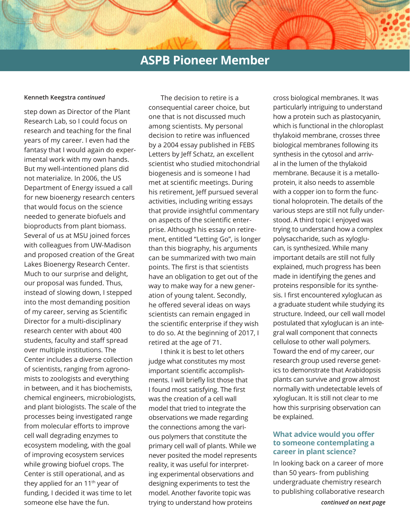#### **Kenneth Keegstra** *continued*

step down as Director of the Plant Research Lab, so I could focus on research and teaching for the final years of my career. I even had the fantasy that I would again do experimental work with my own hands. But my well-intentioned plans did not materialize. In 2006, the US Department of Energy issued a call for new bioenergy research centers that would focus on the science needed to generate biofuels and bioproducts from plant biomass. Several of us at MSU joined forces with colleagues from UW-Madison and proposed creation of the Great Lakes Bioenergy Research Center. Much to our surprise and delight, our proposal was funded. Thus, instead of slowing down, I stepped into the most demanding position of my career, serving as Scientific Director for a multi-disciplinary research center with about 400 students, faculty and staff spread over multiple institutions. The Center includes a diverse collection of scientists, ranging from agronomists to zoologists and everything in between, and it has biochemists, chemical engineers, microbiologists, and plant biologists. The scale of the processes being investigated range from molecular efforts to improve cell wall degrading enzymes to ecosystem modeling, with the goal of improving ecosystem services while growing biofuel crops. The Center is still operational, and as they applied for an 11th year of funding, I decided it was time to let someone else have the fun.

The decision to retire is a consequential career choice, but one that is not discussed much among scientists. My personal decision to retire was influenced by a 2004 essay published in FEBS Letters by Jeff Schatz, an excellent scientist who studied mitochondrial biogenesis and is someone I had met at scientific meetings. During his retirement, Jeff pursued several activities, including writing essays that provide insightful commentary on aspects of the scientific enterprise. Although his essay on retirement, entitled "Letting Go", is longer than this biography, his arguments can be summarized with two main points. The first is that scientists have an obligation to get out of the way to make way for a new generation of young talent. Secondly, he offered several ideas on ways scientists can remain engaged in the scientific enterprise if they wish to do so. At the beginning of 2017, I retired at the age of 71.

I think it is best to let others judge what constitutes my most important scientific accomplishments. I will briefly list those that I found most satisfying. The first was the creation of a cell wall model that tried to integrate the observations we made regarding the connections among the various polymers that constitute the primary cell wall of plants. While we never posited the model represents reality, it was useful for interpreting experimental observations and designing experiments to test the model. Another favorite topic was trying to understand how proteins

cross biological membranes. It was particularly intriguing to understand how a protein such as plastocyanin, which is functional in the chloroplast thylakoid membrane, crosses three biological membranes following its synthesis in the cytosol and arrival in the lumen of the thylakoid membrane. Because it is a metalloprotein, it also needs to assemble with a copper ion to form the functional holoprotein. The details of the various steps are still not fully understood. A third topic I enjoyed was trying to understand how a complex polysaccharide, such as xyloglucan, is synthesized. While many important details are still not fully explained, much progress has been made in identifying the genes and proteins responsible for its synthesis. I first encountered xyloglucan as a graduate student while studying its structure. Indeed, our cell wall model postulated that xyloglucan is an integral wall component that connects cellulose to other wall polymers. Toward the end of my career, our research group used reverse genetics to demonstrate that Arabidopsis plants can survive and grow almost normally with undetectable levels of xyloglucan. It is still not clear to me how this surprising observation can be explained.

### **What advice would you offer to someone contemplating a career in plant science?**

In looking back on a career of more than 50 years- from publishing undergraduate chemistry research to publishing collaborative research